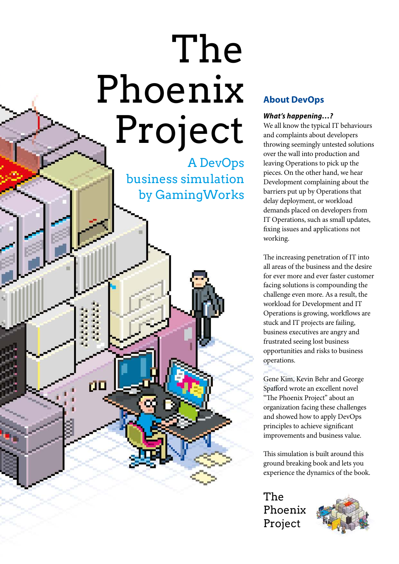# The Phoenix Project

A DevOps business simulation by GamingWorks

ŗΙ

# **About DevOps**

#### **What's happening…?**

We all know the typical IT behaviours and complaints about developers throwing seemingly untested solutions over the wall into production and leaving Operations to pick up the pieces. On the other hand, we hear Development complaining about the barriers put up by Operations that delay deployment, or workload demands placed on developers from IT Operations, such as small updates, fixing issues and applications not working.

The increasing penetration of IT into all areas of the business and the desire for ever more and ever faster customer facing solutions is compounding the challenge even more. As a result, the workload for Development and IT Operations is growing, workflows are stuck and IT projects are failing, business executives are angry and frustrated seeing lost business opportunities and risks to business operations.

Gene Kim, Kevin Behr and George Spafford wrote an excellent novel "The Phoenix Project" about an organization facing these challenges and showed how to apply DevOps principles to achieve significant improvements and business value.

This simulation is built around this ground breaking book and lets you experience the dynamics of the book.

The Phoenix Project

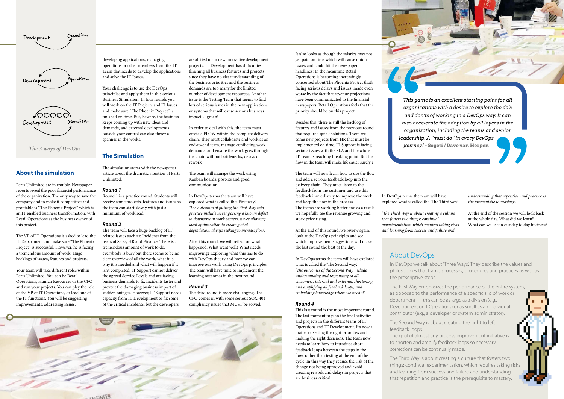*This game is an excellent starting point for all organizations with a desire to explore the do's and don'ts of working in a DevOps way. It can also accelerate the adoption by all layers in the organization, including the teams and senior leadership. A "must do" in every DevOps journey!* **- Sogeti / Dave van Herpen**

developing applications, managing operations or other members from the IT Team that needs to develop the applications and solve the IT Issues.

Your challenge is to use the DevOps principles and apply them in this serious Business Simulation. In four rounds you will work on the IT Projects and IT Issues and make sure "The Phoenix Project" is finished on time. But, beware, the business keeps coming up with new ideas and demands, and external developments outside your control can also throw a spanner in the works.

### **The Simulation**

The simulation starts with the newspaper article about the dramatic situation of Parts Unlimited.

#### **Round 1**

Round 1 is a practice round. Students will receive some projects, features and issues so the team can start slowly with just a minimum of workload.

#### **Round 2**

The team will face a huge backlog of IT related issues such as: Incidents from the users of Sales, HR and Finance. There is a tremendous amount of work to do, everybody is busy but there seems to be no clear overview of all the work, what it is, why it is needed and what will happen if it isn't completed. IT Support cannot deliver the agreed Service Levels and are facing business demands to fix incidents faster and prevent the damaging business impact of sudden outages. However, IT Support needs capacity from IT Development to fix some of the critical incidents, but the developers

are all tied up in new innovative development projects. IT Development has difficulties finishing all business features and projects since they have no clear understanding of the business priorities and the business demands are too many for the limited number of development resources. Another issue is the Testing Team that seems to find lots of serious issues in the new applications or systems that will cause serious business impact….groan!

In order to deal with this, the team must create a FLOW within the complete delivery chain. They must collaborate and work as an end-to-end team, manage conflicting work demands and ensure the work goes through the chain without bottlenecks, delays or rework.

The team will manage the work using Kanban boards, post-its and good communication.

In DevOps terms the team will have explored what is called the 'First way'. 'The outcomes of putting the First Way into practice include never passing a known defect to downstream work centers, never allowing local optimization to create global degradation, always seeking to increase flow'.

After this round, we will reflect on what happened. What went well? What needs improving? Exploring what this has to do with DevOps theory and how we can improve our work using DevOps principles. The team will have time to implement the learning outcomes in the next round.

#### **Round 3**

The third round is more challenging. The CFO comes in with some serious SOX-404 compliancy issues that MUST be solved.



#### **About the simulation**

Parts Unlimited are in trouble. Newspaper reports reveal the poor financial performance of the organization. The only way to save the company and to make it competitive and profitable is "The Phoenix Project" which is an IT enabled business transformation, with Retail Operations as the business owner of this project.

The VP of IT Operations is asked to lead the IT Department and make sure "The Phoenix Project" is successful. However, he is facing a tremendous amount of work. Huge backlogs of issues, features and projects.

Your team will take different roles within Parts Unlimited. You can be Retail Operations, Human Resources or the CFO and run your projects. You can play the role of the VP of IT Operations, or lead one of the IT functions. You will be suggesting improvements, addressing issues,



It also looks as though the salaries may not get paid on time which will cause union issues and could hit the newspaper headlines! In the meantime Retail Operations is becoming increasingly concerned about The Phoenix Project that's facing serious delays and issues, made even worse by the fact that revenue projections have been communicated to the financial newspapers. Retail Operations feels that the priority should be on this project.

Besides this, there is still the backlog of features and issues from the previous round that required quick solutions. There are some new projects from HR that must be implemented on time. IT Support is facing serious issues with the SLA and the whole IT Team is reaching breaking point. But the flow in the team will make life easier surely!?

The team will now learn how to use the flow and add a serious feedback loop into the delivery chain. They must listen to the feedback from the customer and use this feedback immediately to improve the work and keep the flow in the process. The teams are working better and as a result we hopefully see the revenue growing and stock price rising.

At the end of this round, we review again, look at the DevOps principles and see which improvement suggestions will make the last round the best of the day.

In DevOps terms the team will have explored what is called the 'The Second way'. 'The outcomes of the Second Way include understanding and responding to all customers, internal and external, shortening and amplifying all feedback loops, and embedding knowledge where we need it'.

#### **Round 4**

This last round is the most important round. The last moment to plan the final activities and projects in the different teams of IT Operations and IT Development. It's now a matter of setting the right priorities and making the right decisions. The team now needs to learn how to introduce short feedback loops between the steps in the flow, rather than testing at the end of the cycle. In this way they reduce the risk of the change not being approved and avoid creating rework and delays in projects that are business critical.

# About DevOps

In DevOps we talk about 'Three Ways'. They describe the values and philosophies that frame processes, procedures and practices as well as the prescriptive steps.

The First Way emphasizes the performance of the entire system,

as opposed to the performance of a specific silo of work or

- department this can be as large as a division (e.g.,
- Development or IT Operations) or as small as an individual contributor (e.g., a developer or system administrator).



The Second Way is about creating the right to left feedback loops. The goal of almost any process improvement initiative is to shorten and amplify feedback loops so necessary corrections can be continually made.

The Third Way is about creating a culture that fosters two things: continual experimentation, which requires taking risks and learning from success and failure and understanding that repetition and practice is the prerequisite to mastery.

In DevOps terms the team will have explored what is called the 'The Third way'.

'The Third Way is about creating a culture that fosters two things: continual experimentation, which requires taking risks and learning from success and failure and

understanding that repetition and practice is the prerequisite to mastery'.

At the end of the session we will look back at the whole day. What did we learn? What can we use in our day to day business?